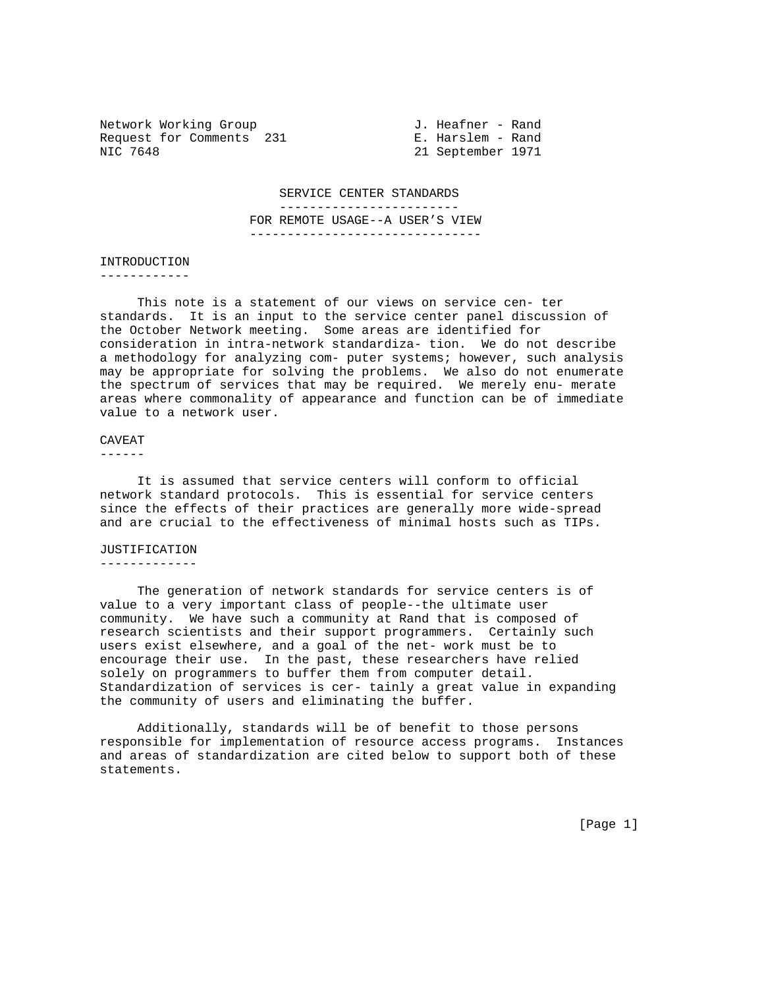Network Working Group 3. Heafner - Rand Request for Comments 231 E. Harslem - Rand<br>NIC 7648 21 September 1971

21 September 1971

SERVICE CENTER STANDARDS

------------------------

 FOR REMOTE USAGE--A USER'S VIEW -------------------------------

INTRODUCTION

------------

 This note is a statement of our views on service cen- ter standards. It is an input to the service center panel discussion of the October Network meeting. Some areas are identified for consideration in intra-network standardiza- tion. We do not describe a methodology for analyzing com- puter systems; however, such analysis may be appropriate for solving the problems. We also do not enumerate the spectrum of services that may be required. We merely enu- merate areas where commonality of appearance and function can be of immediate value to a network user.

## CAVEAT

------

 It is assumed that service centers will conform to official network standard protocols. This is essential for service centers since the effects of their practices are generally more wide-spread and are crucial to the effectiveness of minimal hosts such as TIPs.

## JUSTIFICATION

-------------

 The generation of network standards for service centers is of value to a very important class of people--the ultimate user community. We have such a community at Rand that is composed of research scientists and their support programmers. Certainly such users exist elsewhere, and a goal of the net- work must be to encourage their use. In the past, these researchers have relied solely on programmers to buffer them from computer detail. Standardization of services is cer- tainly a great value in expanding the community of users and eliminating the buffer.

 Additionally, standards will be of benefit to those persons responsible for implementation of resource access programs. Instances and areas of standardization are cited below to support both of these statements.

[Page 1]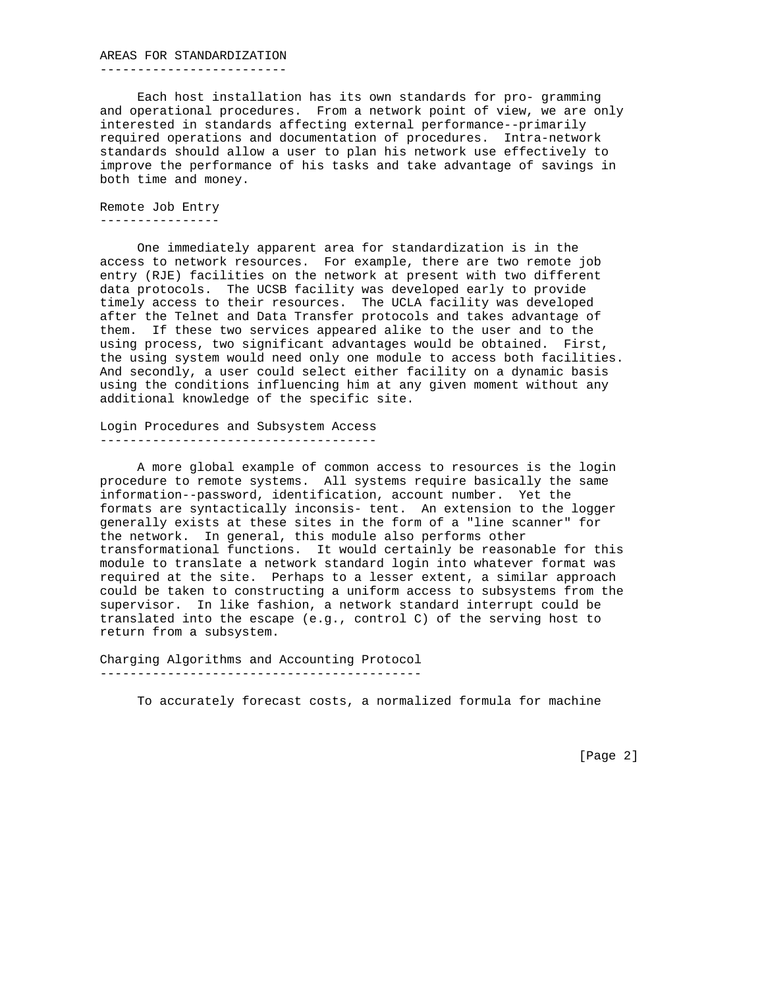## AREAS FOR STANDARDIZATION

-------------------------

 Each host installation has its own standards for pro- gramming and operational procedures. From a network point of view, we are only interested in standards affecting external performance--primarily required operations and documentation of procedures. Intra-network standards should allow a user to plan his network use effectively to improve the performance of his tasks and take advantage of savings in both time and money.

Remote Job Entry ----------------

 One immediately apparent area for standardization is in the access to network resources. For example, there are two remote job entry (RJE) facilities on the network at present with two different data protocols. The UCSB facility was developed early to provide timely access to their resources. The UCLA facility was developed after the Telnet and Data Transfer protocols and takes advantage of them. If these two services appeared alike to the user and to the using process, two significant advantages would be obtained. First, the using system would need only one module to access both facilities. And secondly, a user could select either facility on a dynamic basis using the conditions influencing him at any given moment without any additional knowledge of the specific site.

Login Procedures and Subsystem Access -------------------------------------

 A more global example of common access to resources is the login procedure to remote systems. All systems require basically the same information--password, identification, account number. Yet the formats are syntactically inconsis- tent. An extension to the logger generally exists at these sites in the form of a "line scanner" for the network. In general, this module also performs other transformational functions. It would certainly be reasonable for this module to translate a network standard login into whatever format was required at the site. Perhaps to a lesser extent, a similar approach could be taken to constructing a uniform access to subsystems from the supervisor. In like fashion, a network standard interrupt could be translated into the escape (e.g., control C) of the serving host to return from a subsystem.

Charging Algorithms and Accounting Protocol -------------------------------------------

To accurately forecast costs, a normalized formula for machine

[Page 2]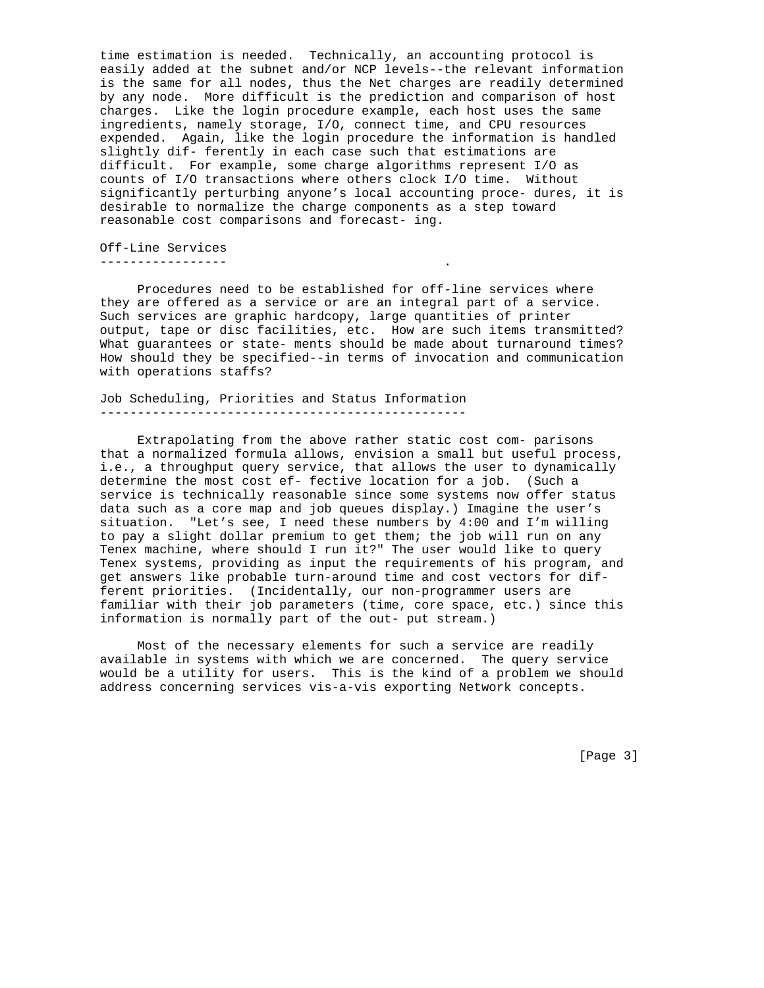time estimation is needed. Technically, an accounting protocol is easily added at the subnet and/or NCP levels--the relevant information is the same for all nodes, thus the Net charges are readily determined by any node. More difficult is the prediction and comparison of host charges. Like the login procedure example, each host uses the same ingredients, namely storage, I/O, connect time, and CPU resources expended. Again, like the login procedure the information is handled slightly dif- ferently in each case such that estimations are difficult. For example, some charge algorithms represent I/O as counts of I/O transactions where others clock I/O time. Without significantly perturbing anyone's local accounting proce- dures, it is desirable to normalize the charge components as a step toward reasonable cost comparisons and forecast- ing.

Off-Line Services ----------------- .

 Procedures need to be established for off-line services where they are offered as a service or are an integral part of a service. Such services are graphic hardcopy, large quantities of printer output, tape or disc facilities, etc. How are such items transmitted? What guarantees or state- ments should be made about turnaround times? How should they be specified--in terms of invocation and communication with operations staffs?

Job Scheduling, Priorities and Status Information -------------------------------------------------

 Extrapolating from the above rather static cost com- parisons that a normalized formula allows, envision a small but useful process, i.e., a throughput query service, that allows the user to dynamically determine the most cost ef- fective location for a job. (Such a service is technically reasonable since some systems now offer status data such as a core map and job queues display.) Imagine the user's situation. "Let's see, I need these numbers by 4:00 and I'm willing to pay a slight dollar premium to get them; the job will run on any Tenex machine, where should I run it?" The user would like to query Tenex systems, providing as input the requirements of his program, and get answers like probable turn-around time and cost vectors for different priorities. (Incidentally, our non-programmer users are familiar with their job parameters (time, core space, etc.) since this information is normally part of the out- put stream.)

 Most of the necessary elements for such a service are readily available in systems with which we are concerned. The query service would be a utility for users. This is the kind of a problem we should address concerning services vis-a-vis exporting Network concepts.

[Page 3]